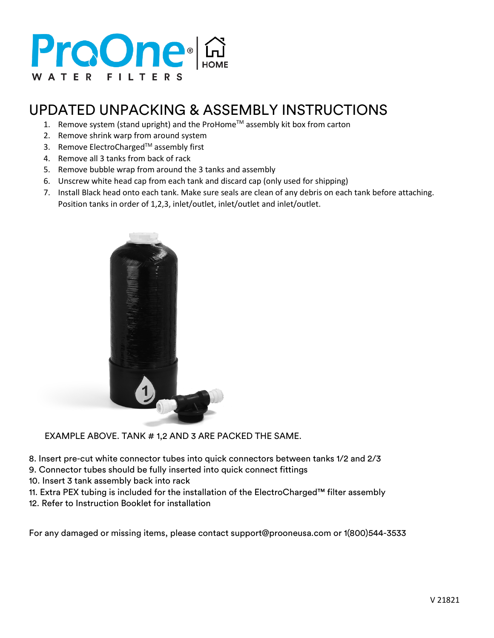# ProOne **A**

## UPDATED UNPACKING & ASSEMBLY INSTRUCTIONS

- 1. Remove system (stand upright) and the ProHome™ assembly kit box from carton
- 2. Remove shrink warp from around system
- 3. Remove ElectroCharged™ assembly first
- 4. Remove all 3 tanks from back of rack
- 5. Remove bubble wrap from around the 3 tanks and assembly
- 6. Unscrew white head cap from each tank and discard cap (only used for shipping)
- 7. Install Black head onto each tank. Make sure seals are clean of any debris on each tank before attaching. Position tanks in order of 1,2,3, inlet/outlet, inlet/outlet and inlet/outlet.



EXAMPLE ABOVE. TANK # 1,2 AND 3 ARE PACKED THE SAME.

8. Insert pre-cut white connector tubes into quick connectors between tanks 1/2 and 2/3

9. Connector tubes should be fully inserted into quick connect fittings

10. Insert 3 tank assembly back into rack

11. Extra PEX tubing is included for the installation of the ElectroCharged™ filter assembly

12. Refer to Instruction Booklet for installation

For any damaged or missing items, please contact support@prooneusa.com or 1(800)544-3533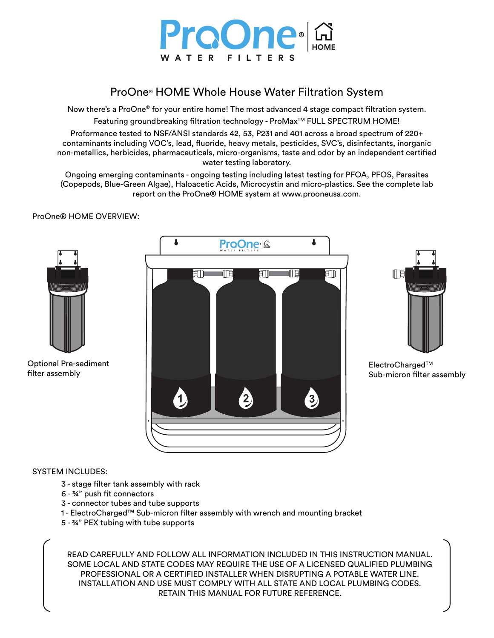

### ProOne® HOME Whole House Water Filtration System

Now there's a ProOne® for your entire home! The most advanced 4 stage compact filtration system. Featuring groundbreaking filtration technology - ProMax™ FULL SPECTRUM HOME!

Proformance tested to NSF/ANSI standards 42, 53, P231 and 401 across a broad spectrum of 220+ contaminants including VOC's, lead, fluoride, heavy metals, pesticides, SVC's, disinfectants, inorganic non-metallics, herbicides, pharmaceuticals, micro-organisms, taste and odor by an independent certified water testing laboratory.

Ongoing emerging contaminants - ongoing testing including latest testing for PFOA, PFOS, Parasites (Copepods, Blue-Green Algae), Haloacetic Acids, Microcystin and micro-plastics. See the complete lab report on the ProOne® HOME system at www.prooneusa.com.



ProOne® HOME OVERVIEW:

#### SYSTEM INCLUDES:

- 3 stage filter tank assembly with rack
- $6 34$ " push fit connectors
- 3 connector tubes and tube supports
- 1 ElectroCharged™ Sub-micron filter assembly with wrench and mounting bracket
- 5 ¾" PEX tubing with tube supports

READ CAREFULLY AND FOLLOW ALL INFORMATION INCLUDED IN THIS INSTRUCTION MANUAL. SOME LOCAL AND STATE CODES MAY REQUIRE THE USE OF A LICENSED QUALIFIED PLUMBING PROFESSIONAL OR A CERTIFIED INSTALLER WHEN DISRUPTING A POTABLE WATER LINE. INSTALLATION AND USE MUST COMPLY WITH ALL STATE AND LOCAL PLUMBING CODES. RETAIN THIS MANUAL FOR FUTURE REFERENCE.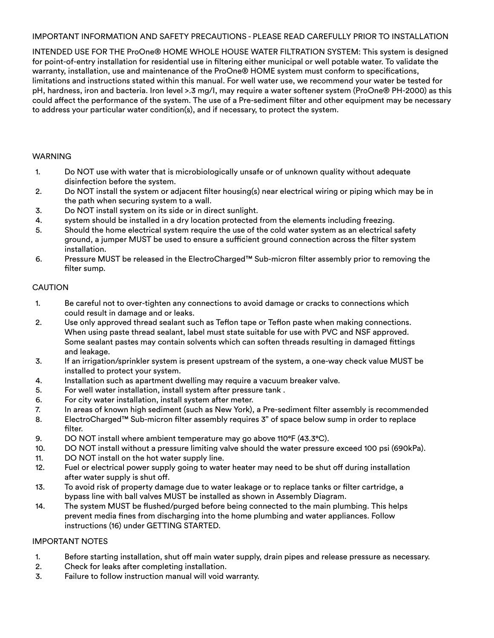#### IMPORTANT INFORMATION AND SAFETY PRECAUTIONS - PLEASE READ CAREFULLY PRIOR TO INSTALLATION

INTENDED USE FOR THE ProOne® HOME WHOLE HOUSE WATER FILTRATION SYSTEM: This system is designed for point-of-entry installation for residential use in filtering either municipal or well potable water. To validate the warranty, installation, use and maintenance of the ProOne® HOME system must conform to specifications, limitations and instructions stated within this manual. For well water use, we recommend your water be tested for pH, hardness, iron and bacteria. Iron level >.3 mg/I, may require a water softener system (ProOne® PH-2000) as this could affect the performance of the system. The use of a Pre-sediment filter and other equipment may be necessary to address your particular water condition(s), and if necessary, to protect the system.

#### WARNING

- 1. Do NOT use with water that is microbiologically unsafe or of unknown quality without adequate disinfection before the system.
- 2. Do NOT install the system or adjacent filter housing(s) near electrical wiring or piping which may be in the path when securing system to a wall.
- 3. Do NOT install system on its side or in direct sunlight.
- 4. system should be installed in a dry location protected from the elements including freezing.
- 5. Should the home electrical system require the use of the cold water system as an electrical safety ground, a jumper MUST be used to ensure a sufficient ground connection across the filter system installation.
- 6. Pressure MUST be released in the ElectroCharged™ Sub-micron filter assembly prior to removing the filter sump.

#### **CAUTION**

- 1. Be careful not to over-tighten any connections to avoid damage or cracks to connections which could result in damage and or leaks.
- 2. Use only approved thread sealant such as Teflon tape or Teflon paste when making connections. When using paste thread sealant, label must state suitable for use with PVC and NSF approved. Some sealant pastes may contain solvents which can soften threads resulting in damaged ttings and leakage.
- 3. If an irrigation/sprinkler system is present upstream of the system, a one-way check value MUST be installed to protect your system.
- 4. Installation such as apartment dwelling may require a vacuum breaker valve.
- 5. For well water installation, install system after pressure tank .
- 6. For city water installation, install system after meter.
- 7. In areas of known high sediment (such as New York), a Pre-sediment filter assembly is recommended
- 8. ElectroCharged™ Sub-micron filter assembly requires 3" of space below sump in order to replace filter.
- 9. DO NOT install where ambient temperature may go above 110°F (43.3°C).
- 10. DO NOT install without a pressure limiting valve should the water pressure exceed 100 psi (690kPa).
- 11. DO NOT install on the hot water supply line.
- 12. Fuel or electrical power supply going to water heater may need to be shut off during installation after water supply is shut off.
- 13. To avoid risk of property damage due to water leakage or to replace tanks or filter cartridge, a bypass line with ball valves MUST be installed as shown in Assembly Diagram.
- 14. The system MUST be flushed/purged before being connected to the main plumbing. This helps prevent media fines from discharging into the home plumbing and water appliances. Follow instructions (16) under GETTING STARTED.

#### IMPORTANT NOTES

- 1. Before starting installation, shut off main water supply, drain pipes and release pressure as necessary.
- 2. Check for leaks after completing installation.
- 3. Failure to follow instruction manual will void warranty.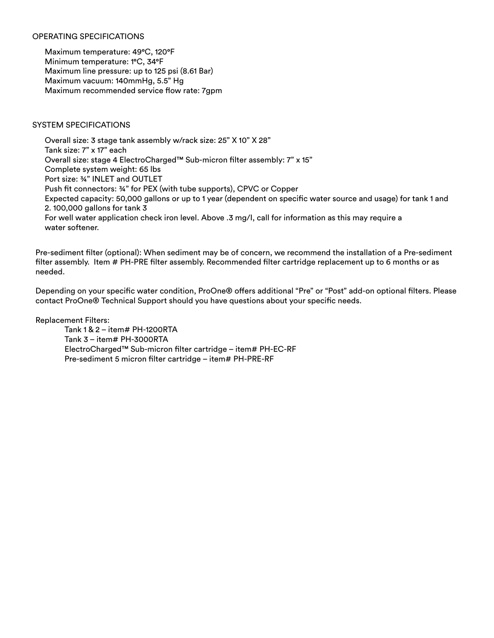#### OPERATING SPECIFICATIONS

Maximum temperature: 49°C, 120°F Minimum temperature: 1°C, 34°F Maximum line pressure: up to 125 psi (8.61 Bar) Maximum vacuum: 140mmHg, 5.5" Hg Maximum recommended service flow rate: 7gpm

#### SYSTEM SPECIFICATIONS

Overall size: 3 stage tank assembly w/rack size: 25" X 10" X 28" Tank size: 7" x 17" each Overall size: stage 4 ElectroCharged™ Sub-micron filter assembly: 7" x 15" Complete system weight: 65 lbs Port size: ¾" INLET and OUTLET Push fit connectors: 34" for PEX (with tube supports), CPVC or Copper Expected capacity: 50,000 gallons or up to 1 year (dependent on specific water source and usage) for tank 1 and 2. 100,000 gallons for tank 3 For well water application check iron level. Above .3 mg/I, call for information as this may require a water softener.

Pre-sediment filter (optional): When sediment may be of concern, we recommend the installation of a Pre-sediment filter assembly. Item # PH-PRE filter assembly. Recommended filter cartridge replacement up to 6 months or as needed.

Depending on your specific water condition, ProOne® offers additional "Pre" or "Post" add-on optional filters. Please contact ProOne® Technical Support should you have questions about your specific needs.

Replacement Filters:

 Tank 1 & 2 – item# PH-1200RTA Tank 3 – item# PH-3000RTA ElectroCharged™ Sub-micron filter cartridge – item# PH-EC-RF Pre-sediment 5 micron filter cartridge – item# PH-PRE-RF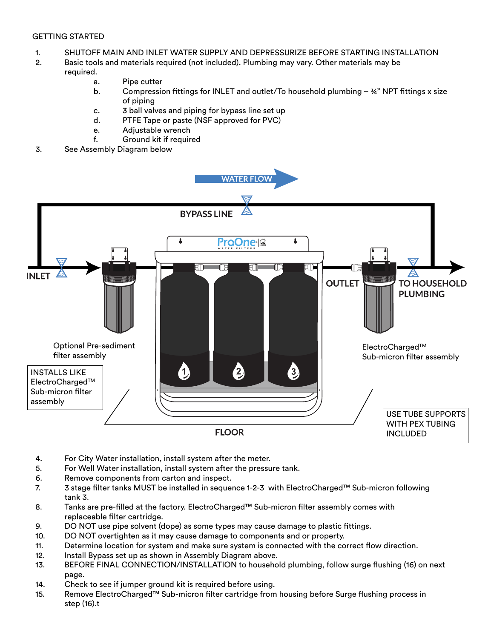#### GETTING STARTED

- 1. SHUTOFF MAIN AND INLET WATER SUPPLY AND DEPRESSURIZE BEFORE STARTING INSTALLATION
- 2. Basic tools and materials required (not included). Plumbing may vary. Other materials may be

#### required.

- a. Pipe cutter
- b. Compression fittings for INLET and outlet/To household plumbing  $-34$ " NPT fittings x size of piping
- c. 3 ball valves and piping for bypass line set up
- d. PTFE Tape or paste (NSF approved for PVC)
- e. Adjustable wrench
- f. Ground kit if required
- 3. See Assembly Diagram below



- 4. For City Water installation, install system after the meter.
- 5. For Well Water installation, install system after the pressure tank.
- 6. Remove components from carton and inspect.
- 7. 3 stage filter tanks MUST be installed in sequence 1-2-3 with ElectroCharged™ Sub-micron following tank 3.
- 8. Tanks are pre-filled at the factory. ElectroCharged™ Sub-micron filter assembly comes with replaceable filter cartridge.
- 9. DO NOT use pipe solvent (dope) as some types may cause damage to plastic fittings.
- 10. DO NOT overtighten as it may cause damage to components and or property.
- 11. Determine location for system and make sure system is connected with the correct flow direction.
- 12. Install Bypass set up as shown in Assembly Diagram above.
- 13. BEFORE FINAL CONNECTION/INSTALLATION to household plumbing, follow surge flushing (16) on next page.
- 14. Check to see if jumper ground kit is required before using.
- 15. Remove ElectroCharged™ Sub-micron filter cartridge from housing before Surge flushing process in step (16).t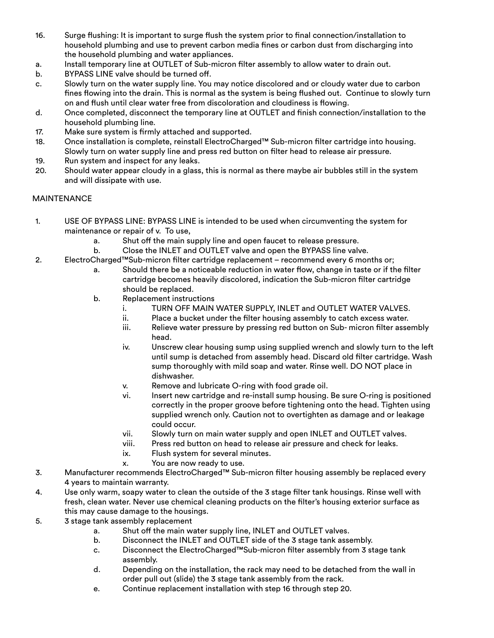- 16. Surge flushing: It is important to surge flush the system prior to final connection/installation to household plumbing and use to prevent carbon media fines or carbon dust from discharging into the household plumbing and water appliances.
- a. Install temporary line at OUTLET of Sub-micron filter assembly to allow water to drain out.
- b. BYPASS LINE valve should be turned off.
- c. Slowly turn on the water supply line. You may notice discolored and or cloudy water due to carbon fines flowing into the drain. This is normal as the system is being flushed out. Continue to slowly turn on and flush until clear water free from discoloration and cloudiness is flowing.
- d. Once completed, disconnect the temporary line at OUTLET and finish connection/installation to the household plumbing line.
- 17. Make sure system is firmly attached and supported.
- 18. Once installation is complete, reinstall ElectroCharged™ Sub-micron filter cartridge into housing. Slowly turn on water supply line and press red button on filter head to release air pressure.
- 19. Run system and inspect for any leaks.
- 20. Should water appear cloudy in a glass, this is normal as there maybe air bubbles still in the system and will dissipate with use.

#### **MAINTENANCE**

- 1. USE OF BYPASS LINE: BYPASS LINE is intended to be used when circumventing the system for maintenance or repair of v. To use,
	- a. Shut off the main supply line and open faucet to release pressure.
	- b. Close the INLET and OUTLET valve and open the BYPASS line valve.
- 2. ElectroCharged™Sub-micron filter cartridge replacement recommend every 6 months or;
	- a. Should there be a noticeable reduction in water flow, change in taste or if the filter cartridge becomes heavily discolored, indication the Sub-micron filter cartridge should be replaced.
	- b. Replacement instructions
		- i. TURN OFF MAIN WATER SUPPLY, INLET and OUTLET WATER VALVES.
		- ii. Place a bucket under the filter housing assembly to catch excess water.
		- iii. Relieve water pressure by pressing red button on Sub- micron filter assembly head.
		- iv. Unscrew clear housing sump using supplied wrench and slowly turn to the left until sump is detached from assembly head. Discard old filter cartridge. Wash sump thoroughly with mild soap and water. Rinse well. DO NOT place in dishwasher.
		- v. Remove and lubricate O-ring with food grade oil.
		- vi. Insert new cartridge and re-install sump housing. Be sure O-ring is positioned correctly in the proper groove before tightening onto the head. Tighten using supplied wrench only. Caution not to overtighten as damage and or leakage could occur.
		- vii. Slowly turn on main water supply and open INLET and OUTLET valves.
		- viii. Press red button on head to release air pressure and check for leaks.
		- ix. Flush system for several minutes.
		- x. You are now ready to use.
- 3. Manufacturer recommends ElectroCharged™ Sub-micron filter housing assembly be replaced every 4 years to maintain warranty.
- 4. Use only warm, soapy water to clean the outside of the 3 stage filter tank housings. Rinse well with fresh, clean water. Never use chemical cleaning products on the filter's housing exterior surface as this may cause damage to the housings.
- 5. 3 stage tank assembly replacement
	- a. Shut off the main water supply line, INLET and OUTLET valves.
	- b. Disconnect the INLET and OUTLET side of the 3 stage tank assembly.
	- c. Disconnect the ElectroCharged™Sub-micron filter assembly from 3 stage tank assembly.
	- d. Depending on the installation, the rack may need to be detached from the wall in order pull out (slide) the 3 stage tank assembly from the rack.
	- e. Continue replacement installation with step 16 through step 20.